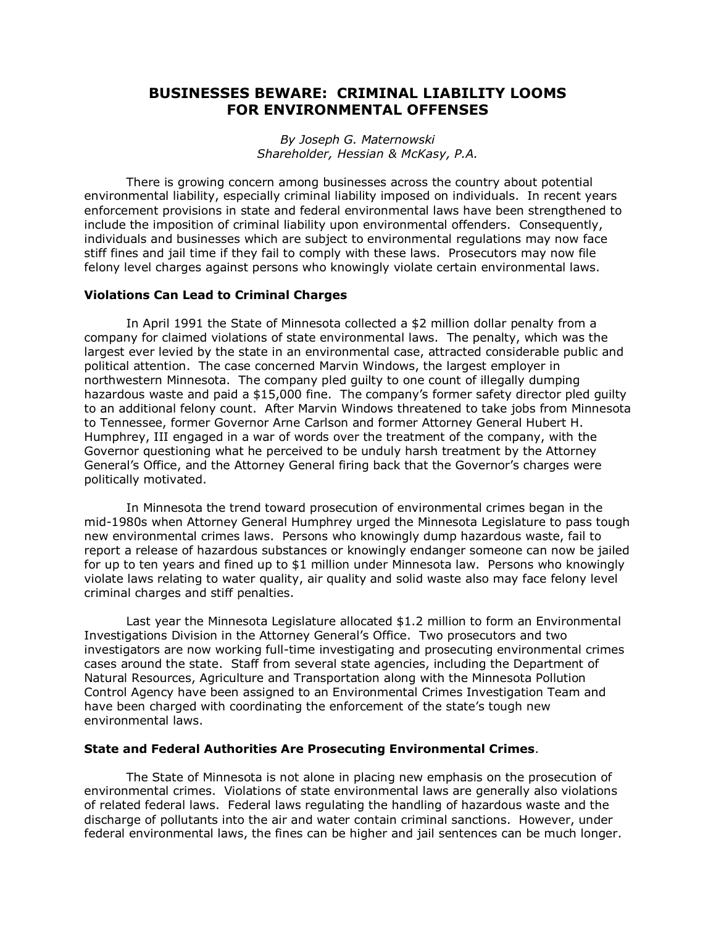## **BUSINESSES BEWARE: CRIMINAL LIABILITY LOOMS FOR ENVIRONMENTAL OFFENSES**

*By Joseph G. Maternowski Shareholder, Hessian & McKasy, P.A.* 

There is growing concern among businesses across the country about potential environmental liability, especially criminal liability imposed on individuals. In recent years enforcement provisions in state and federal environmental laws have been strengthened to include the imposition of criminal liability upon environmental offenders. Consequently, individuals and businesses which are subject to environmental regulations may now face stiff fines and jail time if they fail to comply with these laws. Prosecutors may now file felony level charges against persons who knowingly violate certain environmental laws.

## **Violations Can Lead to Criminal Charges**

In April 1991 the State of Minnesota collected a \$2 million dollar penalty from a company for claimed violations of state environmental laws. The penalty, which was the largest ever levied by the state in an environmental case, attracted considerable public and political attention. The case concerned Marvin Windows, the largest employer in northwestern Minnesota. The company pled guilty to one count of illegally dumping hazardous waste and paid a \$15,000 fine. The company's former safety director pled guilty to an additional felony count. After Marvin Windows threatened to take jobs from Minnesota to Tennessee, former Governor Arne Carlson and former Attorney General Hubert H. Humphrey, III engaged in a war of words over the treatment of the company, with the Governor questioning what he perceived to be unduly harsh treatment by the Attorney General's Office, and the Attorney General firing back that the Governor's charges were politically motivated.

In Minnesota the trend toward prosecution of environmental crimes began in the mid-1980s when Attorney General Humphrey urged the Minnesota Legislature to pass tough new environmental crimes laws. Persons who knowingly dump hazardous waste, fail to report a release of hazardous substances or knowingly endanger someone can now be jailed for up to ten years and fined up to \$1 million under Minnesota law. Persons who knowingly violate laws relating to water quality, air quality and solid waste also may face felony level criminal charges and stiff penalties.

Last year the Minnesota Legislature allocated \$1.2 million to form an Environmental Investigations Division in the Attorney General's Office. Two prosecutors and two investigators are now working full-time investigating and prosecuting environmental crimes cases around the state. Staff from several state agencies, including the Department of Natural Resources, Agriculture and Transportation along with the Minnesota Pollution Control Agency have been assigned to an Environmental Crimes Investigation Team and have been charged with coordinating the enforcement of the state's tough new environmental laws.

## **State and Federal Authorities Are Prosecuting Environmental Crimes**.

The State of Minnesota is not alone in placing new emphasis on the prosecution of environmental crimes. Violations of state environmental laws are generally also violations of related federal laws. Federal laws regulating the handling of hazardous waste and the discharge of pollutants into the air and water contain criminal sanctions. However, under federal environmental laws, the fines can be higher and jail sentences can be much longer.